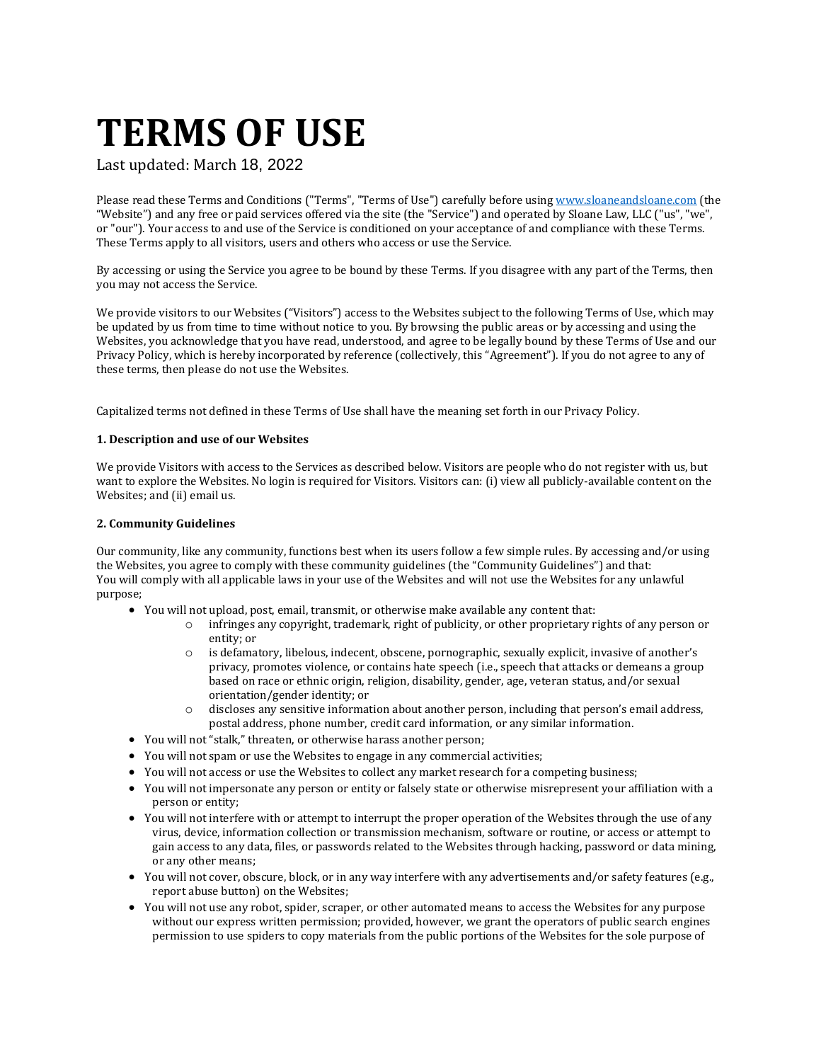# **TERMS OF USE**

Last updated: March 18, 2022

Please read these Terms and Conditions ("Terms", "Terms of Use") carefully before using [www.sloaneandsloane.com](http://www.sloaneandsloane.com/) (the "Website") and any free or paid services offered via the site (the "Service") and operated by Sloane Law, LLC ("us", "we", or "our"). Your access to and use of the Service is conditioned on your acceptance of and compliance with these Terms. These Terms apply to all visitors, users and others who access or use the Service.

By accessing or using the Service you agree to be bound by these Terms. If you disagree with any part of the Terms, then you may not access the Service.

We provide visitors to our Websites ("Visitors") access to the Websites subject to the following Terms of Use, which may be updated by us from time to time without notice to you. By browsing the public areas or by accessing and using the Websites, you acknowledge that you have read, understood, and agree to be legally bound by these Terms of Use and our Privacy Policy, which is hereby incorporated by reference (collectively, this "Agreement"). If you do not agree to any of these terms, then please do not use the Websites.

Capitalized terms not defined in these Terms of Use shall have the meaning set forth in our Privacy Policy.

# **1. Description and use of our Websites**

We provide Visitors with access to the Services as described below. Visitors are people who do not register with us, but want to explore the Websites. No login is required for Visitors. Visitors can: (i) view all publicly-available content on the Websites; and (ii) email us.

# **2. Community Guidelines**

Our community, like any community, functions best when its users follow a few simple rules. By accessing and/or using the Websites, you agree to comply with these community guidelines (the "Community Guidelines") and that: You will comply with all applicable laws in your use of the Websites and will not use the Websites for any unlawful purpose;

- You will not upload, post, email, transmit, or otherwise make available any content that:
	- o infringes any copyright, trademark, right of publicity, or other proprietary rights of any person or entity; or
	- o is defamatory, libelous, indecent, obscene, pornographic, sexually explicit, invasive of another's privacy, promotes violence, or contains hate speech (i.e., speech that attacks or demeans a group based on race or ethnic origin, religion, disability, gender, age, veteran status, and/or sexual orientation/gender identity; or
	- $\circ$  discloses any sensitive information about another person, including that person's email address, postal address, phone number, credit card information, or any similar information.
- You will not "stalk," threaten, or otherwise harass another person;
- You will not spam or use the Websites to engage in any commercial activities;
- You will not access or use the Websites to collect any market research for a competing business;
- You will not impersonate any person or entity or falsely state or otherwise misrepresent your affiliation with a person or entity;
- You will not interfere with or attempt to interrupt the proper operation of the Websites through the use of any virus, device, information collection or transmission mechanism, software or routine, or access or attempt to gain access to any data, files, or passwords related to the Websites through hacking, password or data mining, or any other means;
- You will not cover, obscure, block, or in any way interfere with any advertisements and/or safety features (e.g., report abuse button) on the Websites;
- You will not use any robot, spider, scraper, or other automated means to access the Websites for any purpose without our express written permission; provided, however, we grant the operators of public search engines permission to use spiders to copy materials from the public portions of the Websites for the sole purpose of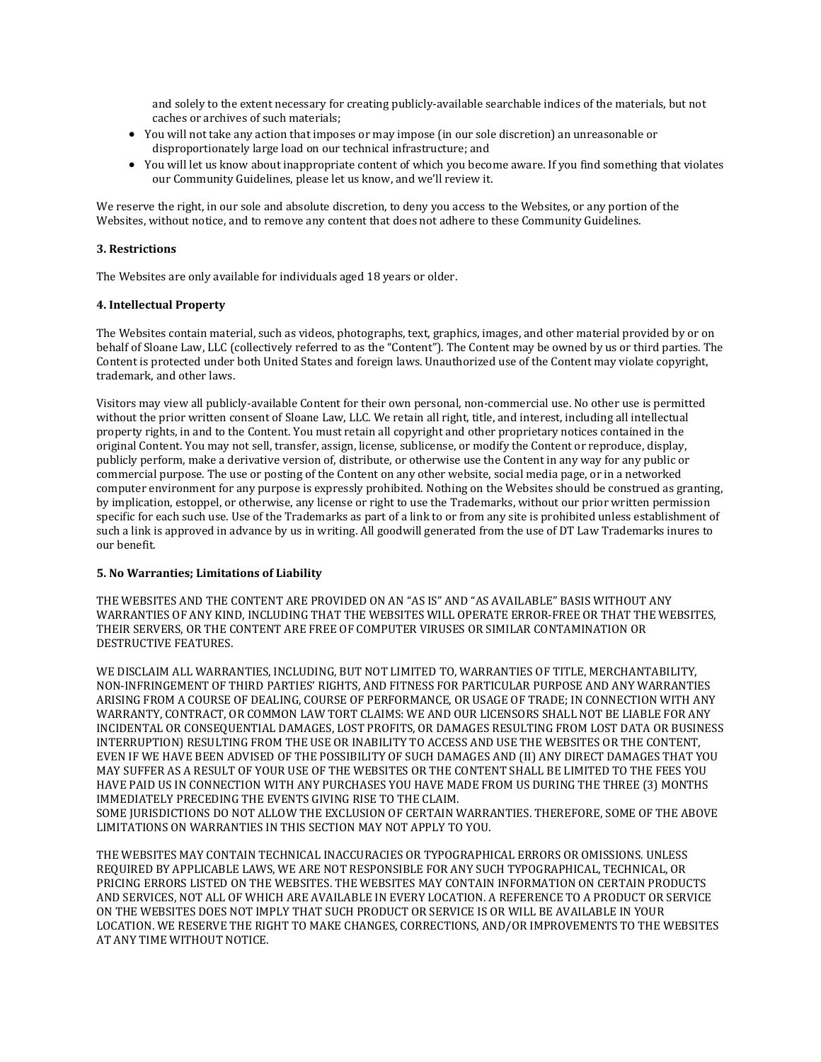and solely to the extent necessary for creating publicly-available searchable indices of the materials, but not caches or archives of such materials;

- You will not take any action that imposes or may impose (in our sole discretion) an unreasonable or disproportionately large load on our technical infrastructure; and
- You will let us know about inappropriate content of which you become aware. If you find something that violates our Community Guidelines, please let us know, and we'll review it.

We reserve the right, in our sole and absolute discretion, to deny you access to the Websites, or any portion of the Websites, without notice, and to remove any content that does not adhere to these Community Guidelines.

# **3. Restrictions**

The Websites are only available for individuals aged 18 years or older.

# **4. Intellectual Property**

The Websites contain material, such as videos, photographs, text, graphics, images, and other material provided by or on behalf of Sloane Law, LLC (collectively referred to as the "Content"). The Content may be owned by us or third parties. The Content is protected under both United States and foreign laws. Unauthorized use of the Content may violate copyright, trademark, and other laws.

Visitors may view all publicly-available Content for their own personal, non-commercial use. No other use is permitted without the prior written consent of Sloane Law, LLC. We retain all right, title, and interest, including all intellectual property rights, in and to the Content. You must retain all copyright and other proprietary notices contained in the original Content. You may not sell, transfer, assign, license, sublicense, or modify the Content or reproduce, display, publicly perform, make a derivative version of, distribute, or otherwise use the Content in any way for any public or commercial purpose. The use or posting of the Content on any other website, social media page, or in a networked computer environment for any purpose is expressly prohibited. Nothing on the Websites should be construed as granting, by implication, estoppel, or otherwise, any license or right to use the Trademarks, without our prior written permission specific for each such use. Use of the Trademarks as part of a link to or from any site is prohibited unless establishment of such a link is approved in advance by us in writing. All goodwill generated from the use of DT Law Trademarks inures to our benefit.

#### **5. No Warranties; Limitations of Liability**

THE WEBSITES AND THE CONTENT ARE PROVIDED ON AN "AS IS" AND "AS AVAILABLE" BASIS WITHOUT ANY WARRANTIES OF ANY KIND, INCLUDING THAT THE WEBSITES WILL OPERATE ERROR-FREE OR THAT THE WEBSITES, THEIR SERVERS, OR THE CONTENT ARE FREE OF COMPUTER VIRUSES OR SIMILAR CONTAMINATION OR DESTRUCTIVE FEATURES.

WE DISCLAIM ALL WARRANTIES, INCLUDING, BUT NOT LIMITED TO, WARRANTIES OF TITLE, MERCHANTABILITY, NON-INFRINGEMENT OF THIRD PARTIES' RIGHTS, AND FITNESS FOR PARTICULAR PURPOSE AND ANY WARRANTIES ARISING FROM A COURSE OF DEALING, COURSE OF PERFORMANCE, OR USAGE OF TRADE; IN CONNECTION WITH ANY WARRANTY, CONTRACT, OR COMMON LAW TORT CLAIMS: WE AND OUR LICENSORS SHALL NOT BE LIABLE FOR ANY INCIDENTAL OR CONSEQUENTIAL DAMAGES, LOST PROFITS, OR DAMAGES RESULTING FROM LOST DATA OR BUSINESS INTERRUPTION) RESULTING FROM THE USE OR INABILITY TO ACCESS AND USE THE WEBSITES OR THE CONTENT, EVEN IF WE HAVE BEEN ADVISED OF THE POSSIBILITY OF SUCH DAMAGES AND (II) ANY DIRECT DAMAGES THAT YOU MAY SUFFER AS A RESULT OF YOUR USE OF THE WEBSITES OR THE CONTENT SHALL BE LIMITED TO THE FEES YOU HAVE PAID US IN CONNECTION WITH ANY PURCHASES YOU HAVE MADE FROM US DURING THE THREE (3) MONTHS IMMEDIATELY PRECEDING THE EVENTS GIVING RISE TO THE CLAIM.

SOME JURISDICTIONS DO NOT ALLOW THE EXCLUSION OF CERTAIN WARRANTIES. THEREFORE, SOME OF THE ABOVE LIMITATIONS ON WARRANTIES IN THIS SECTION MAY NOT APPLY TO YOU.

THE WEBSITES MAY CONTAIN TECHNICAL INACCURACIES OR TYPOGRAPHICAL ERRORS OR OMISSIONS. UNLESS REQUIRED BY APPLICABLE LAWS, WE ARE NOT RESPONSIBLE FOR ANY SUCH TYPOGRAPHICAL, TECHNICAL, OR PRICING ERRORS LISTED ON THE WEBSITES. THE WEBSITES MAY CONTAIN INFORMATION ON CERTAIN PRODUCTS AND SERVICES, NOT ALL OF WHICH ARE AVAILABLE IN EVERY LOCATION. A REFERENCE TO A PRODUCT OR SERVICE ON THE WEBSITES DOES NOT IMPLY THAT SUCH PRODUCT OR SERVICE IS OR WILL BE AVAILABLE IN YOUR LOCATION. WE RESERVE THE RIGHT TO MAKE CHANGES, CORRECTIONS, AND/OR IMPROVEMENTS TO THE WEBSITES AT ANY TIME WITHOUT NOTICE.